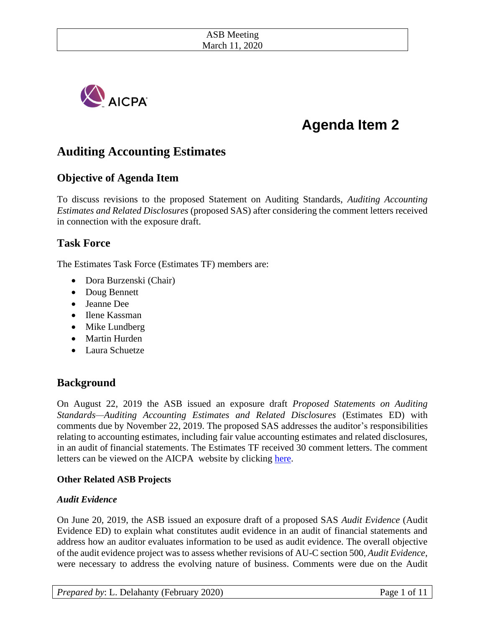

# **Agenda Item 2**

## **Auditing Accounting Estimates**

## **Objective of Agenda Item**

To discuss revisions to the proposed Statement on Auditing Standards, *Auditing Accounting Estimates and Related Disclosures* (proposed SAS) after considering the comment letters received in connection with the exposure draft.

### **Task Force**

The Estimates Task Force (Estimates TF) members are:

- Dora Burzenski (Chair)
- Doug Bennett
- Jeanne Dee
- Ilene Kassman
- Mike Lundberg
- Martin Hurden
- Laura Schuetze

## **Background**

On August 22, 2019 the ASB issued an exposure draft *Proposed Statements on Auditing Standards—Auditing Accounting Estimates and Related Disclosures* (Estimates ED) with comments due by November 22, 2019. The proposed SAS addresses the auditor's responsibilities relating to accounting estimates, including fair value accounting estimates and related disclosures, in an audit of financial statements. The Estimates TF received 30 comment letters. The comment letters can be viewed on the AICPA website by clicking [here.](https://www.aicpa.org/research/exposuredrafts/accountingandauditing/comment-letters-on-proposed-sas-auditing-accounting-estimates-related-disclosures.html)

#### **Other Related ASB Projects**

#### *Audit Evidence*

On June 20, 2019, the ASB issued an exposure draft of a proposed SAS *Audit Evidence* (Audit Evidence ED) to explain what constitutes audit evidence in an audit of financial statements and address how an auditor evaluates information to be used as audit evidence. The overall objective of the audit evidence project was to assess whether revisions of AU-C section 500, *Audit Evidence*, were necessary to address the evolving nature of business. Comments were due on the Audit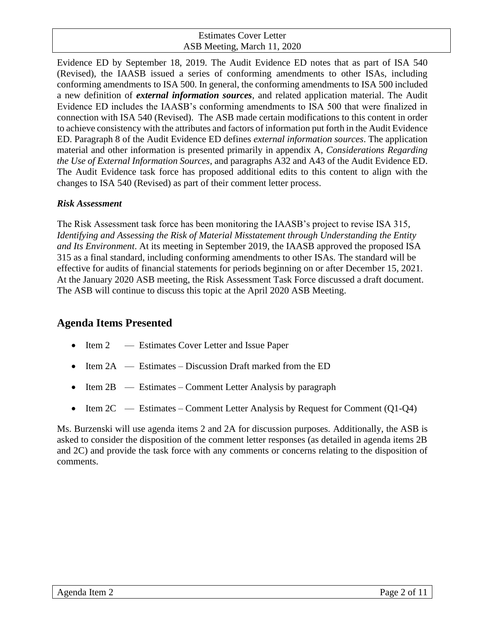Evidence ED by September 18, 2019. The Audit Evidence ED notes that as part of ISA 540 (Revised), the IAASB issued a series of conforming amendments to other ISAs, including conforming amendments to ISA 500. In general, the conforming amendments to ISA 500 included a new definition of *external information sources*, and related application material. The Audit Evidence ED includes the IAASB's conforming amendments to ISA 500 that were finalized in connection with ISA 540 (Revised). The ASB made certain modifications to this content in order to achieve consistency with the attributes and factors of information put forth in the Audit Evidence ED. Paragraph 8 of the Audit Evidence ED defines *external information sources*. The application material and other information is presented primarily in appendix A, *Considerations Regarding the Use of External Information Sources*, and paragraphs A32 and A43 of the Audit Evidence ED. The Audit Evidence task force has proposed additional edits to this content to align with the changes to ISA 540 (Revised) as part of their comment letter process.

#### *Risk Assessment*

The Risk Assessment task force has been monitoring the IAASB's project to revise ISA 315, *Identifying and Assessing the Risk of Material Misstatement through Understanding the Entity and Its Environment*. At its meeting in September 2019, the IAASB approved the proposed ISA 315 as a final standard, including conforming amendments to other ISAs. The standard will be effective for audits of financial statements for periods beginning on or after December 15, 2021. At the January 2020 ASB meeting, the Risk Assessment Task Force discussed a draft document. The ASB will continue to discuss this topic at the April 2020 ASB Meeting.

## **Agenda Items Presented**

- Item 2 Estimates Cover Letter and Issue Paper
- Item  $2A$  Estimates Discussion Draft marked from the ED
- Item  $2B$  Estimates Comment Letter Analysis by paragraph
- Item 2C Estimates Comment Letter Analysis by Request for Comment (Q1-Q4)

Ms. Burzenski will use agenda items 2 and 2A for discussion purposes. Additionally, the ASB is asked to consider the disposition of the comment letter responses (as detailed in agenda items 2B and 2C) and provide the task force with any comments or concerns relating to the disposition of comments.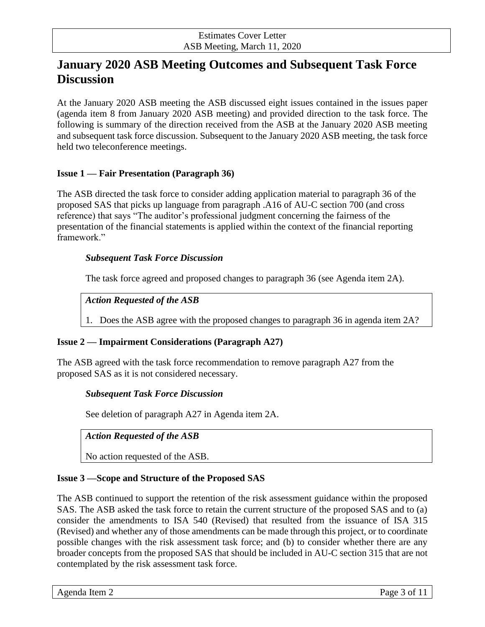## **January 2020 ASB Meeting Outcomes and Subsequent Task Force Discussion**

At the January 2020 ASB meeting the ASB discussed eight issues contained in the issues paper (agenda item 8 from January 2020 ASB meeting) and provided direction to the task force. The following is summary of the direction received from the ASB at the January 2020 ASB meeting and subsequent task force discussion. Subsequent to the January 2020 ASB meeting, the task force held two teleconference meetings.

#### **Issue 1 — Fair Presentation (Paragraph 36)**

The ASB directed the task force to consider adding application material to paragraph 36 of the proposed SAS that picks up language from paragraph .A16 of AU-C section 700 (and cross reference) that says "The auditor's professional judgment concerning the fairness of the presentation of the financial statements is applied within the context of the financial reporting framework."

#### *Subsequent Task Force Discussion*

The task force agreed and proposed changes to paragraph 36 (see Agenda item 2A).

#### *Action Requested of the ASB*

1. Does the ASB agree with the proposed changes to paragraph 36 in agenda item 2A?

#### **Issue 2 — Impairment Considerations (Paragraph A27)**

The ASB agreed with the task force recommendation to remove paragraph A27 from the proposed SAS as it is not considered necessary.

#### *Subsequent Task Force Discussion*

See deletion of paragraph A27 in Agenda item 2A.

#### *Action Requested of the ASB*

No action requested of the ASB.

#### **Issue 3 —Scope and Structure of the Proposed SAS**

The ASB continued to support the retention of the risk assessment guidance within the proposed SAS. The ASB asked the task force to retain the current structure of the proposed SAS and to (a) consider the amendments to ISA 540 (Revised) that resulted from the issuance of ISA 315 (Revised) and whether any of those amendments can be made through this project, or to coordinate possible changes with the risk assessment task force; and (b) to consider whether there are any broader concepts from the proposed SAS that should be included in AU-C section 315 that are not contemplated by the risk assessment task force.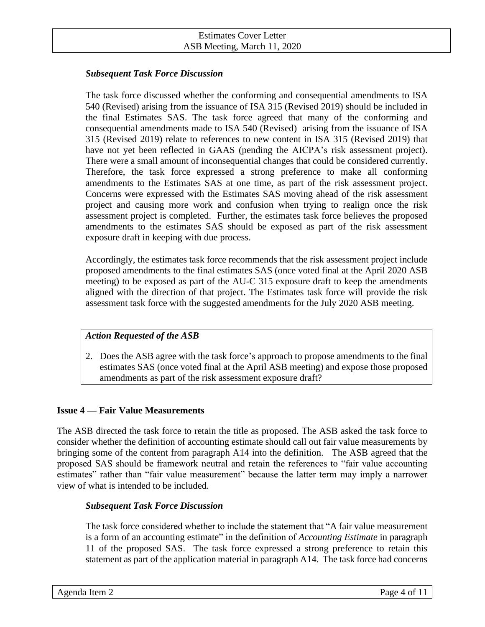#### *Subsequent Task Force Discussion*

The task force discussed whether the conforming and consequential amendments to ISA 540 (Revised) arising from the issuance of ISA 315 (Revised 2019) should be included in the final Estimates SAS. The task force agreed that many of the conforming and consequential amendments made to ISA 540 (Revised) arising from the issuance of ISA 315 (Revised 2019) relate to references to new content in ISA 315 (Revised 2019) that have not yet been reflected in GAAS (pending the AICPA's risk assessment project). There were a small amount of inconsequential changes that could be considered currently. Therefore, the task force expressed a strong preference to make all conforming amendments to the Estimates SAS at one time, as part of the risk assessment project. Concerns were expressed with the Estimates SAS moving ahead of the risk assessment project and causing more work and confusion when trying to realign once the risk assessment project is completed. Further, the estimates task force believes the proposed amendments to the estimates SAS should be exposed as part of the risk assessment exposure draft in keeping with due process.

Accordingly, the estimates task force recommends that the risk assessment project include proposed amendments to the final estimates SAS (once voted final at the April 2020 ASB meeting) to be exposed as part of the AU-C 315 exposure draft to keep the amendments aligned with the direction of that project. The Estimates task force will provide the risk assessment task force with the suggested amendments for the July 2020 ASB meeting.

#### *Action Requested of the ASB*

2. Does the ASB agree with the task force's approach to propose amendments to the final estimates SAS (once voted final at the April ASB meeting) and expose those proposed amendments as part of the risk assessment exposure draft?

#### **Issue 4 — Fair Value Measurements**

The ASB directed the task force to retain the title as proposed. The ASB asked the task force to consider whether the definition of accounting estimate should call out fair value measurements by bringing some of the content from paragraph A14 into the definition. The ASB agreed that the proposed SAS should be framework neutral and retain the references to "fair value accounting estimates" rather than "fair value measurement" because the latter term may imply a narrower view of what is intended to be included.

#### *Subsequent Task Force Discussion*

The task force considered whether to include the statement that "A fair value measurement is a form of an accounting estimate" in the definition of *Accounting Estimate* in paragraph 11 of the proposed SAS. The task force expressed a strong preference to retain this statement as part of the application material in paragraph A14. The task force had concerns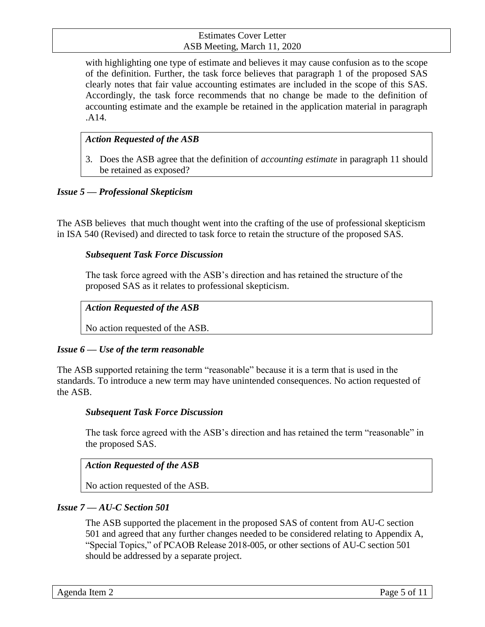with highlighting one type of estimate and believes it may cause confusion as to the scope of the definition. Further, the task force believes that paragraph 1 of the proposed SAS clearly notes that fair value accounting estimates are included in the scope of this SAS. Accordingly, the task force recommends that no change be made to the definition of accounting estimate and the example be retained in the application material in paragraph .A14.

#### *Action Requested of the ASB*

3. Does the ASB agree that the definition of *accounting estimate* in paragraph 11 should be retained as exposed?

#### *Issue 5 — Professional Skepticism*

The ASB believes that much thought went into the crafting of the use of professional skepticism in ISA 540 (Revised) and directed to task force to retain the structure of the proposed SAS.

#### *Subsequent Task Force Discussion*

The task force agreed with the ASB's direction and has retained the structure of the proposed SAS as it relates to professional skepticism.

#### *Action Requested of the ASB*

No action requested of the ASB.

#### *Issue 6 — Use of the term reasonable*

The ASB supported retaining the term "reasonable" because it is a term that is used in the standards. To introduce a new term may have unintended consequences. No action requested of the ASB.

#### *Subsequent Task Force Discussion*

The task force agreed with the ASB's direction and has retained the term "reasonable" in the proposed SAS.

#### *Action Requested of the ASB*

No action requested of the ASB.

#### *Issue 7 — AU-C Section 501*

The ASB supported the placement in the proposed SAS of content from AU-C section 501 and agreed that any further changes needed to be considered relating to Appendix A, "Special Topics," of PCAOB Release 2018-005, or other sections of AU-C section 501 should be addressed by a separate project.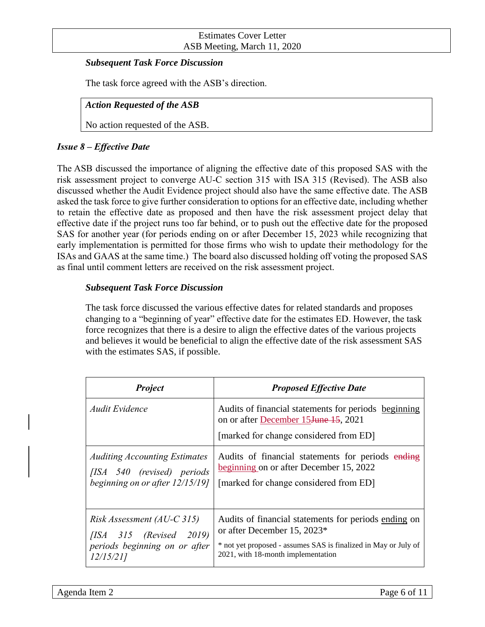#### *Subsequent Task Force Discussion*

The task force agreed with the ASB's direction.

#### *Action Requested of the ASB*

No action requested of the ASB.

#### *Issue 8 – Effective Date*

The ASB discussed the importance of aligning the effective date of this proposed SAS with the risk assessment project to converge AU-C section 315 with ISA 315 (Revised). The ASB also discussed whether the Audit Evidence project should also have the same effective date. The ASB asked the task force to give further consideration to options for an effective date, including whether to retain the effective date as proposed and then have the risk assessment project delay that effective date if the project runs too far behind, or to push out the effective date for the proposed SAS for another year (for periods ending on or after December 15, 2023 while recognizing that early implementation is permitted for those firms who wish to update their methodology for the ISAs and GAAS at the same time.) The board also discussed holding off voting the proposed SAS as final until comment letters are received on the risk assessment project.

#### *Subsequent Task Force Discussion*

The task force discussed the various effective dates for related standards and proposes changing to a "beginning of year" effective date for the estimates ED. However, the task force recognizes that there is a desire to align the effective dates of the various projects and believes it would be beneficial to align the effective date of the risk assessment SAS with the estimates SAS, if possible.

| <b>Project</b>                               | <b>Proposed Effective Date</b>                                                                                                                      |
|----------------------------------------------|-----------------------------------------------------------------------------------------------------------------------------------------------------|
| Audit Evidence                               | Audits of financial statements for periods beginning<br>on or after December 15 <del>June 15</del> , 2021<br>[marked for change considered from ED] |
| <b>Auditing Accounting Estimates</b>         | Audits of financial statements for periods ending                                                                                                   |
| [ISA 540 (revised) periods                   | beginning on or after December 15, 2022                                                                                                             |
| beginning on or after 12/15/19]              | [marked for change considered from ED]                                                                                                              |
| Risk Assessment (AU-C 315)                   | Audits of financial statements for periods ending on                                                                                                |
| $[ISA \quad 315 \quad (Revised \quad 2019)]$ | or after December 15, 2023*                                                                                                                         |
| periods beginning on or after                | * not yet proposed - assumes SAS is finalized in May or July of                                                                                     |
| 12/15/211                                    | 2021, with 18-month implementation                                                                                                                  |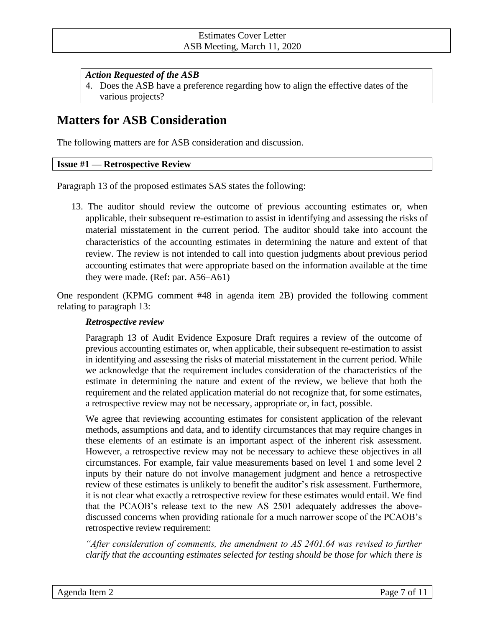#### *Action Requested of the ASB*

4. Does the ASB have a preference regarding how to align the effective dates of the various projects?

## **Matters for ASB Consideration**

The following matters are for ASB consideration and discussion.

#### **Issue #1 — Retrospective Review**

Paragraph 13 of the proposed estimates SAS states the following:

13. The auditor should review the outcome of previous accounting estimates or, when applicable, their subsequent re-estimation to assist in identifying and assessing the risks of material misstatement in the current period. The auditor should take into account the characteristics of the accounting estimates in determining the nature and extent of that review. The review is not intended to call into question judgments about previous period accounting estimates that were appropriate based on the information available at the time they were made. (Ref: par. A56–A61)

One respondent (KPMG comment #48 in agenda item 2B) provided the following comment relating to paragraph 13:

#### *Retrospective review*

Paragraph 13 of Audit Evidence Exposure Draft requires a review of the outcome of previous accounting estimates or, when applicable, their subsequent re-estimation to assist in identifying and assessing the risks of material misstatement in the current period. While we acknowledge that the requirement includes consideration of the characteristics of the estimate in determining the nature and extent of the review, we believe that both the requirement and the related application material do not recognize that, for some estimates, a retrospective review may not be necessary, appropriate or, in fact, possible.

We agree that reviewing accounting estimates for consistent application of the relevant methods, assumptions and data, and to identify circumstances that may require changes in these elements of an estimate is an important aspect of the inherent risk assessment. However, a retrospective review may not be necessary to achieve these objectives in all circumstances. For example, fair value measurements based on level 1 and some level 2 inputs by their nature do not involve management judgment and hence a retrospective review of these estimates is unlikely to benefit the auditor's risk assessment. Furthermore, it is not clear what exactly a retrospective review for these estimates would entail. We find that the PCAOB's release text to the new AS 2501 adequately addresses the abovediscussed concerns when providing rationale for a much narrower scope of the PCAOB's retrospective review requirement:

*After consideration of comments, the amendment to AS 2401.64 was revised to further clarify that the accounting estimates selected for testing should be those for which there is*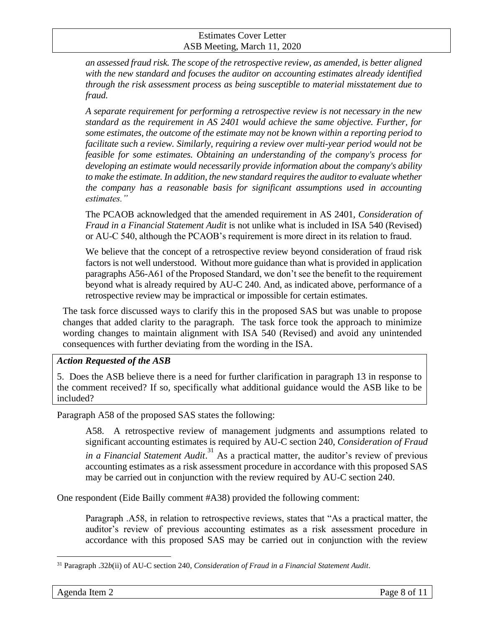*an assessed fraud risk. The scope of the retrospective review, as amended, is better aligned with the new standard and focuses the auditor on accounting estimates already identified through the risk assessment process as being susceptible to material misstatement due to fraud.*

*A separate requirement for performing a retrospective review is not necessary in the new standard as the requirement in AS 2401 would achieve the same objective. Further, for some estimates, the outcome of the estimate may not be known within a reporting period to facilitate such a review. Similarly, requiring a review over multi-year period would not be feasible for some estimates. Obtaining an understanding of the company's process for developing an estimate would necessarily provide information about the company's ability to make the estimate. In addition, the new standard requires the auditor to evaluate whether the company has a reasonable basis for significant assumptions used in accounting estimates."*

The PCAOB acknowledged that the amended requirement in AS 2401, *Consideration of Fraud in a Financial Statement Audit* is not unlike what is included in ISA 540 (Revised) or AU-C 540, although the PCAOB's requirement is more direct in its relation to fraud.

We believe that the concept of a retrospective review beyond consideration of fraud risk factors is not well understood. Without more guidance than what is provided in application paragraphs A56-A61 of the Proposed Standard, we don't see the benefit to the requirement beyond what is already required by AU-C 240. And, as indicated above, performance of a retrospective review may be impractical or impossible for certain estimates.

The task force discussed ways to clarify this in the proposed SAS but was unable to propose changes that added clarity to the paragraph. The task force took the approach to minimize wording changes to maintain alignment with ISA 540 (Revised) and avoid any unintended consequences with further deviating from the wording in the ISA.

#### *Action Requested of the ASB*

5. Does the ASB believe there is a need for further clarification in paragraph 13 in response to the comment received? If so, specifically what additional guidance would the ASB like to be included?

Paragraph A58 of the proposed SAS states the following:

A58. A retrospective review of management judgments and assumptions related to significant accounting estimates is required by AU-C section 240, *Consideration of Fraud*  in a Financial Statement Audit.<sup>31</sup> As a practical matter, the auditor's review of previous accounting estimates as a risk assessment procedure in accordance with this proposed SAS may be carried out in conjunction with the review required by AU-C section 240.

One respondent (Eide Bailly comment #A38) provided the following comment:

Paragraph .A58, in relation to retrospective reviews, states that "As a practical matter, the auditor's review of previous accounting estimates as a risk assessment procedure in accordance with this proposed SAS may be carried out in conjunction with the review

<sup>31</sup> Paragraph .32*b*(ii) of AU-C section 240, *Consideration of Fraud in a Financial Statement Audit*.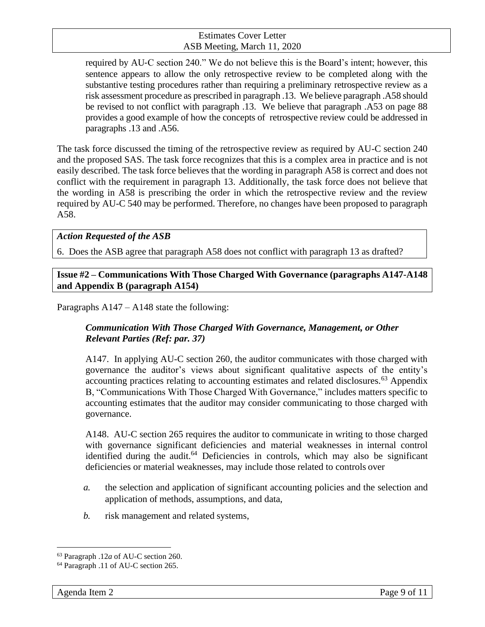required by AU‐C section 240." We do not believe this is the Board's intent; however, this sentence appears to allow the only retrospective review to be completed along with the substantive testing procedures rather than requiring a preliminary retrospective review as a risk assessment procedure as prescribed in paragraph .13. We believe paragraph .A58 should be revised to not conflict with paragraph .13. We believe that paragraph .A53 on page 88 provides a good example of how the concepts of retrospective review could be addressed in paragraphs .13 and .A56.

The task force discussed the timing of the retrospective review as required by AU-C section 240 and the proposed SAS. The task force recognizes that this is a complex area in practice and is not easily described. The task force believes that the wording in paragraph A58 is correct and does not conflict with the requirement in paragraph 13. Additionally, the task force does not believe that the wording in A58 is prescribing the order in which the retrospective review and the review required by AU-C 540 may be performed. Therefore, no changes have been proposed to paragraph A58.

#### *Action Requested of the ASB*

6. Does the ASB agree that paragraph A58 does not conflict with paragraph 13 as drafted?

**Issue #2 – Communications With Those Charged With Governance (paragraphs A147-A148 and Appendix B (paragraph A154)**

Paragraphs A147 – A148 state the following:

#### *Communication With Those Charged With Governance, Management, or Other Relevant Parties (Ref: par. 37)*

A147. In applying AU-C section 260, the auditor communicates with those charged with governance the auditor's views about significant qualitative aspects of the entity's accounting practices relating to accounting estimates and related disclosures.<sup>63</sup> Appendix B, "Communications With Those Charged With Governance," includes matters specific to accounting estimates that the auditor may consider communicating to those charged with governance.

A148. AU-C section 265 requires the auditor to communicate in writing to those charged with governance significant deficiencies and material weaknesses in internal control identified during the audit.<sup>64</sup> Deficiencies in controls, which may also be significant deficiencies or material weaknesses, may include those related to controls over

- *a.* the selection and application of significant accounting policies and the selection and application of methods, assumptions, and data,
- *b.* risk management and related systems,

<sup>63</sup> Paragraph .12*a* of AU-C section 260.

<sup>64</sup> Paragraph .11 of AU-C section 265.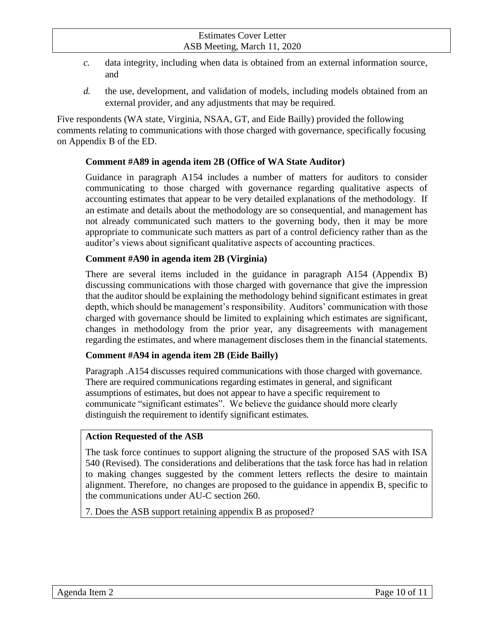- *c.* data integrity, including when data is obtained from an external information source, and
- *d.* the use, development, and validation of models, including models obtained from an external provider, and any adjustments that may be required.

Five respondents (WA state, Virginia, NSAA, GT, and Eide Bailly) provided the following comments relating to communications with those charged with governance, specifically focusing on Appendix B of the ED.

#### **Comment #A89 in agenda item 2B (Office of WA State Auditor)**

Guidance in paragraph A154 includes a number of matters for auditors to consider communicating to those charged with governance regarding qualitative aspects of accounting estimates that appear to be very detailed explanations of the methodology. If an estimate and details about the methodology are so consequential, and management has not already communicated such matters to the governing body, then it may be more appropriate to communicate such matters as part of a control deficiency rather than as the auditor's views about significant qualitative aspects of accounting practices.

#### **Comment #A90 in agenda item 2B (Virginia)**

There are several items included in the guidance in paragraph A154 (Appendix B) discussing communications with those charged with governance that give the impression that the auditor should be explaining the methodology behind significant estimates in great depth, which should be management's responsibility. Auditors' communication with those charged with governance should be limited to explaining which estimates are significant, changes in methodology from the prior year, any disagreements with management regarding the estimates, and where management discloses them in the financial statements.

#### **Comment #A94 in agenda item 2B (Eide Bailly)**

Paragraph .A154 discusses required communications with those charged with governance. There are required communications regarding estimates in general, and significant assumptions of estimates, but does not appear to have a specific requirement to communicate "significant estimates". We believe the guidance should more clearly distinguish the requirement to identify significant estimates.

#### **Action Requested of the ASB**

The task force continues to support aligning the structure of the proposed SAS with ISA 540 (Revised). The considerations and deliberations that the task force has had in relation to making changes suggested by the comment letters reflects the desire to maintain alignment. Therefore, no changes are proposed to the guidance in appendix B, specific to the communications under AU-C section 260.

7. Does the ASB support retaining appendix B as proposed?